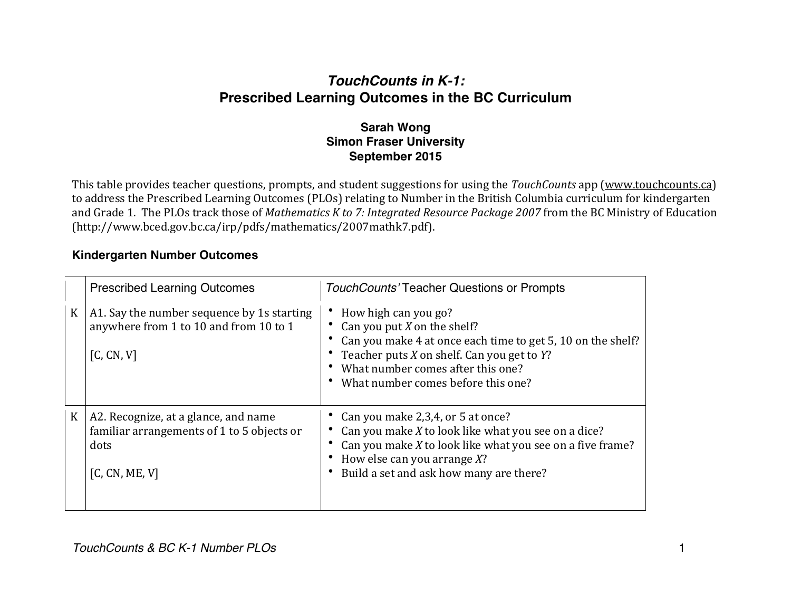## *TouchCounts in K-1:* **Prescribed Learning Outcomes in the BC Curriculum**

## **Sarah Wong Simon Fraser University September 2015**

This table provides teacher questions, prompts, and student suggestions for using the *TouchCounts* app (www.touchcounts.ca) to address the Prescribed Learning Outcomes (PLOs) relating to Number in the British Columbia curriculum for kindergarten and Grade 1. The PLOs track those of *Mathematics K to 7: Integrated Resource Package 2007* from the BC Ministry of Education (http://www.bced.gov.bc.ca/irp/pdfs/mathematics/2007mathk7.pdf).

## **Kindergarten Number Outcomes**

|              | <b>Prescribed Learning Outcomes</b>                                                                          | TouchCounts' Teacher Questions or Prompts                                                                                                                                                                                                            |
|--------------|--------------------------------------------------------------------------------------------------------------|------------------------------------------------------------------------------------------------------------------------------------------------------------------------------------------------------------------------------------------------------|
| $\mathbf{K}$ | A1. Say the number sequence by 1s starting<br>anywhere from 1 to 10 and from 10 to 1<br>[C, CN, V]           | How high can you go?<br>Can you put $X$ on the shelf?<br>Can you make 4 at once each time to get 5, 10 on the shelf?<br>• Teacher puts $X$ on shelf. Can you get to $Y$ ?<br>What number comes after this one?<br>What number comes before this one? |
| $\rm K$      | A2. Recognize, at a glance, and name<br>familiar arrangements of 1 to 5 objects or<br>dots<br>[C, CN, ME, V] | Can you make 2,3,4, or 5 at once?<br>Can you make X to look like what you see on a dice?<br>Can you make X to look like what you see on a five frame?<br>How else can you arrange $X$ ?<br>Build a set and ask how many are there?                   |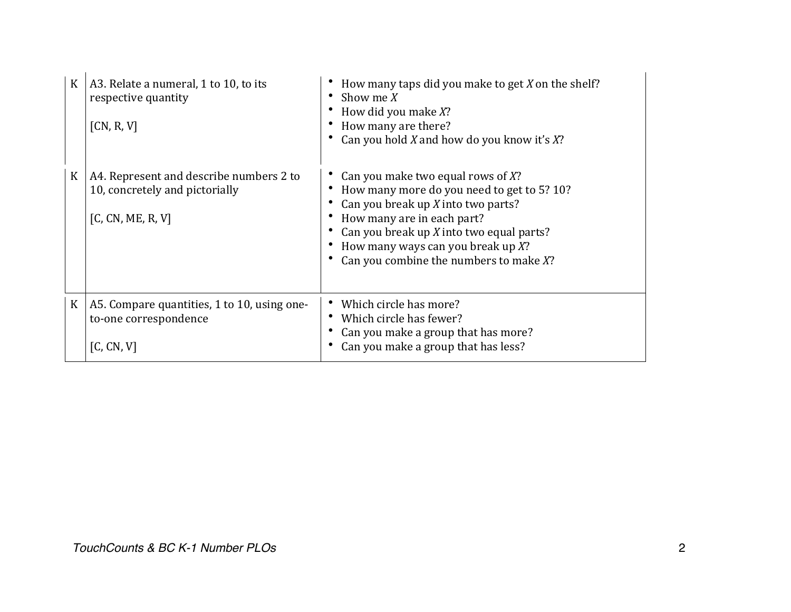| $\rm K$ | A3. Relate a numeral, 1 to 10, to its<br>respective quantity<br>[CN, R, V]                     | How many taps did you make to get $X$ on the shelf?<br>Show me $X$<br>How did you make X?<br>How many are there?<br>Can you hold X and how do you know it's $X$ ?                                                                                                                           |
|---------|------------------------------------------------------------------------------------------------|---------------------------------------------------------------------------------------------------------------------------------------------------------------------------------------------------------------------------------------------------------------------------------------------|
| $\rm K$ | A4. Represent and describe numbers 2 to<br>10, concretely and pictorially<br>[C, CN, ME, R, V] | Can you make two equal rows of $X$ ?<br>How many more do you need to get to 5? 10?<br>Can you break up $X$ into two parts?<br>How many are in each part?<br>Can you break up $X$ into two equal parts?<br>How many ways can you break up $X$ ?<br>Can you combine the numbers to make $X$ ? |
| $\rm K$ | A5. Compare quantities, 1 to 10, using one-<br>to-one correspondence<br>[C, CN, V]             | Which circle has more?<br>Which circle has fewer?<br>Can you make a group that has more?<br>Can you make a group that has less?                                                                                                                                                             |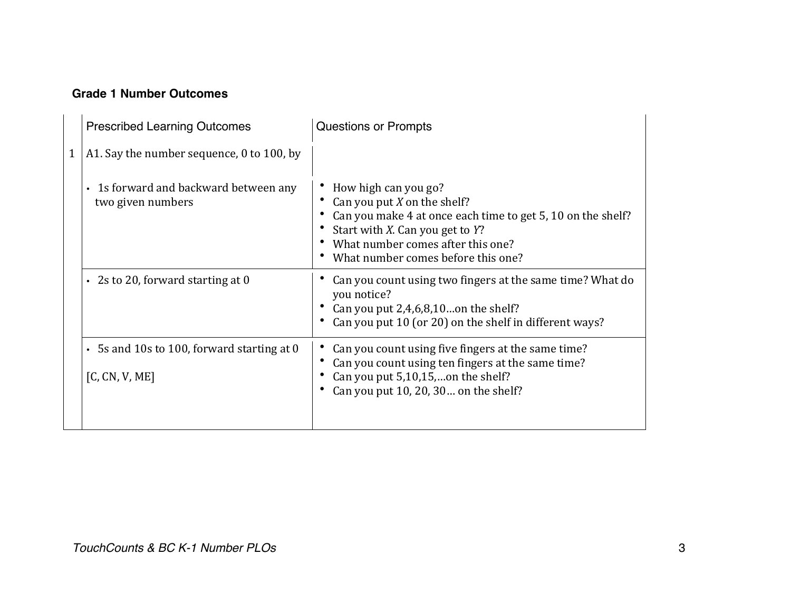## **Grade 1 Number Outcomes**

|  | <b>Prescribed Learning Outcomes</b>                          | <b>Questions or Prompts</b>                                                                                                                                                                                                        |
|--|--------------------------------------------------------------|------------------------------------------------------------------------------------------------------------------------------------------------------------------------------------------------------------------------------------|
|  | A1. Say the number sequence, 0 to 100, by                    |                                                                                                                                                                                                                                    |
|  | • 1s forward and backward between any<br>two given numbers   | How high can you go?<br>Can you put $X$ on the shelf?<br>Can you make 4 at once each time to get 5, 10 on the shelf?<br>Start with X. Can you get to Y?<br>What number comes after this one?<br>What number comes before this one? |
|  | $\cdot$ 2s to 20, forward starting at 0                      | Can you count using two fingers at the same time? What do<br>you notice?<br>• Can you put $2,4,6,8,10$ on the shelf?<br>Can you put 10 (or 20) on the shelf in different ways?                                                     |
|  | • 5s and 10s to 100, forward starting at 0<br>[C, CN, V, ME] | Can you count using five fingers at the same time?<br>Can you count using ten fingers at the same time?<br>Can you put 5,10,15,on the shelf?<br>Can you put 10, 20, 30 on the shelf?                                               |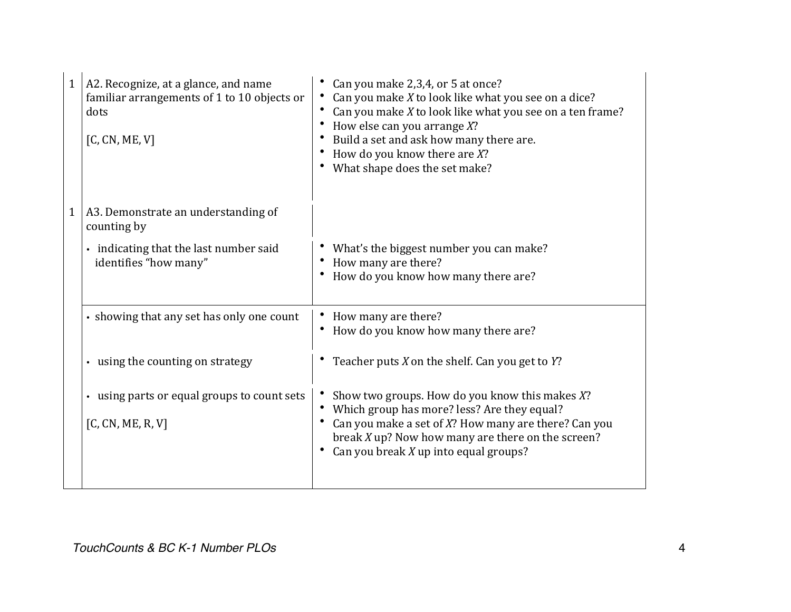| 1 | A2. Recognize, at a glance, and name<br>familiar arrangements of 1 to 10 objects or<br>dots<br>[C, CN, ME, V] | Can you make 2,3,4, or 5 at once?<br>Can you make $X$ to look like what you see on a dice?<br>Can you make X to look like what you see on a ten frame?<br>How else can you arrange $X$ ?<br>Build a set and ask how many there are.<br>How do you know there are $X$ ?<br>What shape does the set make? |
|---|---------------------------------------------------------------------------------------------------------------|---------------------------------------------------------------------------------------------------------------------------------------------------------------------------------------------------------------------------------------------------------------------------------------------------------|
| 1 | A3. Demonstrate an understanding of<br>counting by                                                            |                                                                                                                                                                                                                                                                                                         |
|   | • indicating that the last number said<br>identifies "how many"                                               | What's the biggest number you can make?<br>How many are there?<br>How do you know how many there are?                                                                                                                                                                                                   |
|   | · showing that any set has only one count                                                                     | How many are there?<br>How do you know how many there are?                                                                                                                                                                                                                                              |
|   | • using the counting on strategy                                                                              | Teacher puts $X$ on the shelf. Can you get to $Y$ ?                                                                                                                                                                                                                                                     |
|   | • using parts or equal groups to count sets<br>[C, CN, ME, R, V]                                              | Show two groups. How do you know this makes X?<br>Which group has more? less? Are they equal?<br>Can you make a set of X? How many are there? Can you<br>break $X$ up? Now how many are there on the screen?<br>Can you break $X$ up into equal groups?                                                 |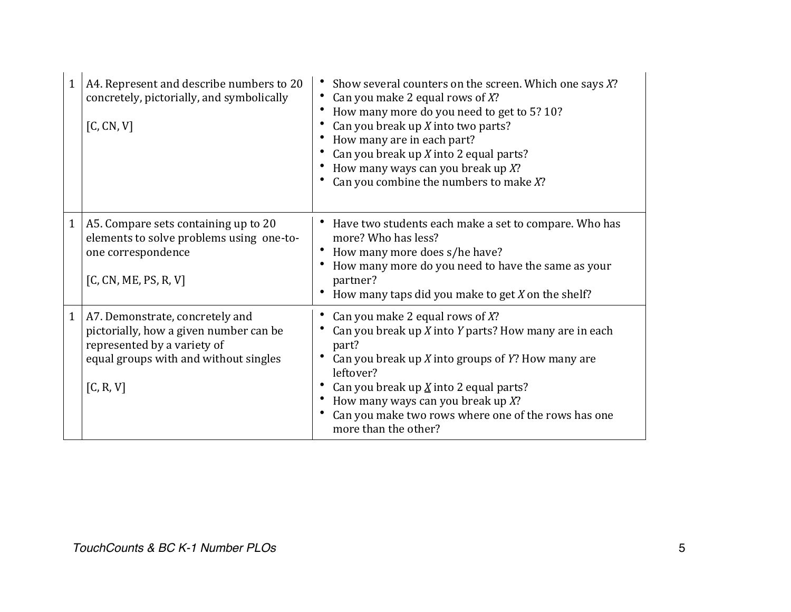| $\mathbf{1}$ | A4. Represent and describe numbers to 20<br>concretely, pictorially, and symbolically<br>[C, CN, V]                                                            | Show several counters on the screen. Which one says X?<br>Can you make 2 equal rows of $X$ ?<br>How many more do you need to get to 5? 10?<br>Can you break up $X$ into two parts?<br>How many are in each part?<br>Can you break up X into 2 equal parts?<br>How many ways can you break up $X$ ?<br>Can you combine the numbers to make $X$ ?           |
|--------------|----------------------------------------------------------------------------------------------------------------------------------------------------------------|-----------------------------------------------------------------------------------------------------------------------------------------------------------------------------------------------------------------------------------------------------------------------------------------------------------------------------------------------------------|
| $\mathbf{1}$ | A5. Compare sets containing up to 20<br>elements to solve problems using one-to-<br>one correspondence<br>[C, CN, ME, PS, R, V]                                | Have two students each make a set to compare. Who has<br>more? Who has less?<br>How many more does s/he have?<br>How many more do you need to have the same as your<br>partner?<br>How many taps did you make to get $X$ on the shelf?                                                                                                                    |
| $\mathbf{1}$ | A7. Demonstrate, concretely and<br>pictorially, how a given number can be<br>represented by a variety of<br>equal groups with and without singles<br>[C, R, V] | Can you make 2 equal rows of $X$ ?<br>Can you break up $X$ into $Y$ parts? How many are in each<br>part?<br>Can you break up X into groups of Y? How many are<br>leftover?<br>Can you break up $\underline{X}$ into 2 equal parts?<br>How many ways can you break up $X$ ?<br>Can you make two rows where one of the rows has one<br>more than the other? |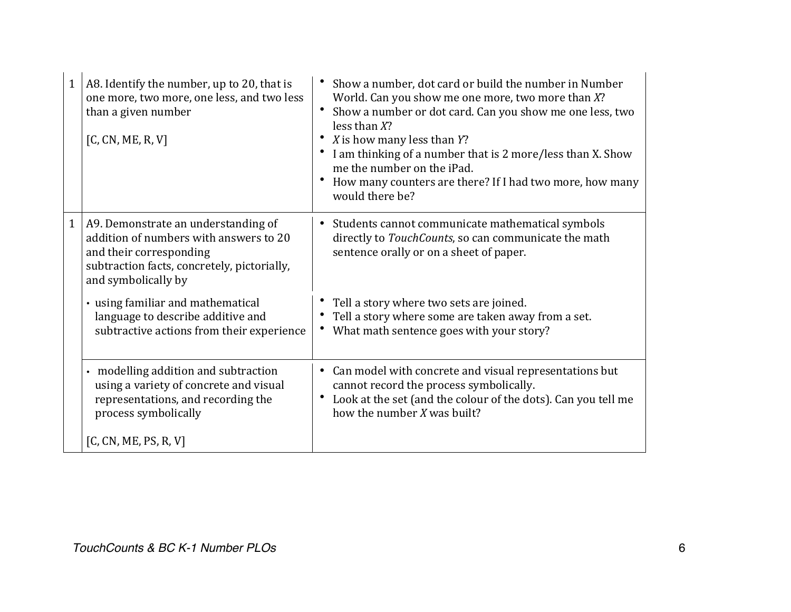| $\mathbf{1}$ | A8. Identify the number, up to 20, that is<br>one more, two more, one less, and two less<br>than a given number<br>[C, CN, ME, R, V]                                           | Show a number, dot card or build the number in Number<br>World. Can you show me one more, two more than X?<br>Show a number or dot card. Can you show me one less, two<br>less than $X$ ?<br>X is how many less than Y?<br>• I am thinking of a number that is 2 more/less than X. Show<br>me the number on the iPad.<br>How many counters are there? If I had two more, how many<br>would there be? |
|--------------|--------------------------------------------------------------------------------------------------------------------------------------------------------------------------------|------------------------------------------------------------------------------------------------------------------------------------------------------------------------------------------------------------------------------------------------------------------------------------------------------------------------------------------------------------------------------------------------------|
| $\mathbf{1}$ | A9. Demonstrate an understanding of<br>addition of numbers with answers to 20<br>and their corresponding<br>subtraction facts, concretely, pictorially,<br>and symbolically by | Students cannot communicate mathematical symbols<br>directly to TouchCounts, so can communicate the math<br>sentence orally or on a sheet of paper.                                                                                                                                                                                                                                                  |
|              | • using familiar and mathematical<br>language to describe additive and<br>subtractive actions from their experience                                                            | Tell a story where two sets are joined.<br>Tell a story where some are taken away from a set.<br>What math sentence goes with your story?                                                                                                                                                                                                                                                            |
|              | • modelling addition and subtraction<br>using a variety of concrete and visual<br>representations, and recording the<br>process symbolically                                   | Can model with concrete and visual representations but<br>cannot record the process symbolically.<br>Look at the set (and the colour of the dots). Can you tell me<br>how the number X was built?                                                                                                                                                                                                    |
|              | [C, CN, ME, PS, R, V]                                                                                                                                                          |                                                                                                                                                                                                                                                                                                                                                                                                      |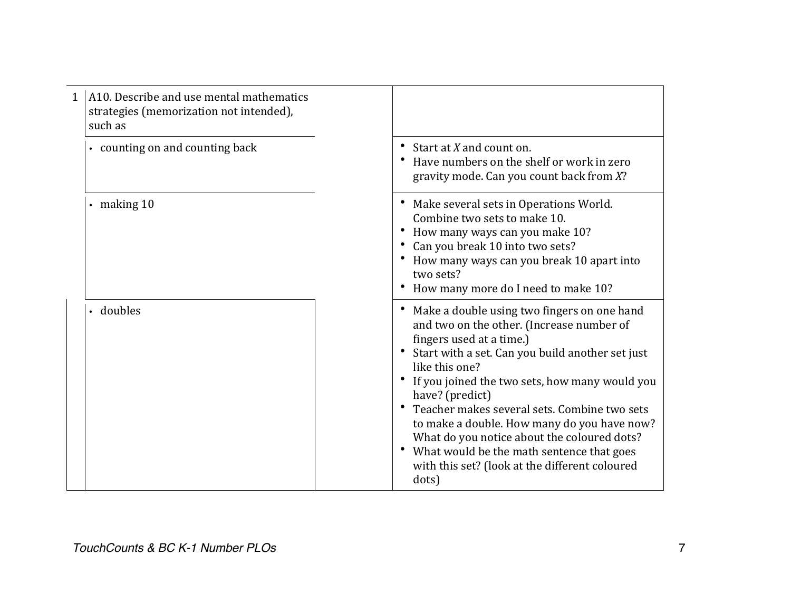| $\mathbf{1}$ | A10. Describe and use mental mathematics<br>strategies (memorization not intended),<br>such as |                                                                                                                                                                                                                                                                                                                                                                                                                                                                                                                       |
|--------------|------------------------------------------------------------------------------------------------|-----------------------------------------------------------------------------------------------------------------------------------------------------------------------------------------------------------------------------------------------------------------------------------------------------------------------------------------------------------------------------------------------------------------------------------------------------------------------------------------------------------------------|
|              | • counting on and counting back                                                                | Start at X and count on.<br>Have numbers on the shelf or work in zero<br>$\bullet$<br>gravity mode. Can you count back from X?                                                                                                                                                                                                                                                                                                                                                                                        |
|              | $\cdot$ making 10                                                                              | Make several sets in Operations World.<br>Combine two sets to make 10.<br>How many ways can you make 10?<br>Can you break 10 into two sets?<br>How many ways can you break 10 apart into<br>two sets?<br>How many more do I need to make 10?                                                                                                                                                                                                                                                                          |
|              | • doubles                                                                                      | Make a double using two fingers on one hand<br>and two on the other. (Increase number of<br>fingers used at a time.)<br>Start with a set. Can you build another set just<br>like this one?<br>If you joined the two sets, how many would you<br>have? (predict)<br>Teacher makes several sets. Combine two sets<br>to make a double. How many do you have now?<br>What do you notice about the coloured dots?<br>What would be the math sentence that goes<br>with this set? (look at the different coloured<br>dots) |